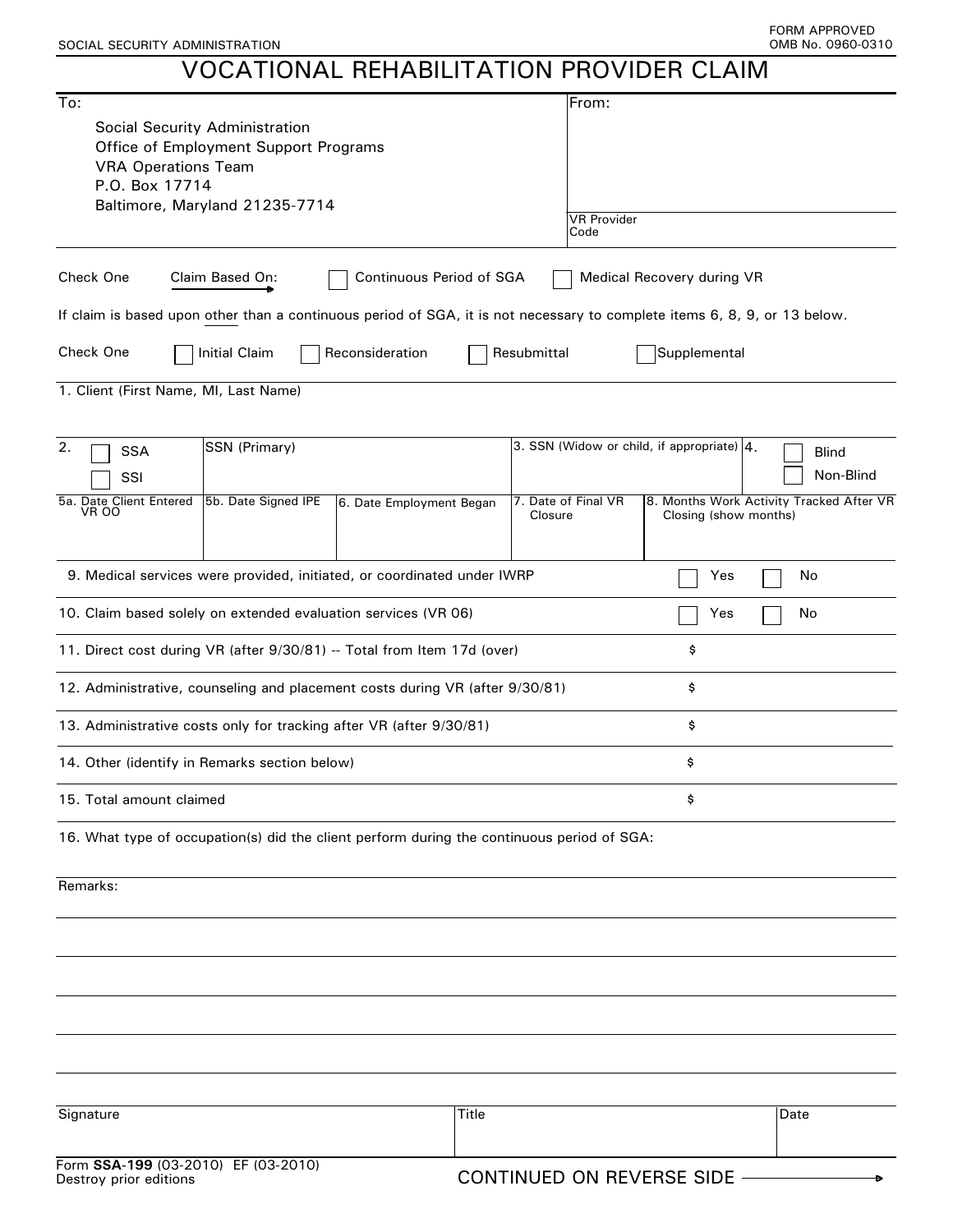## VOCATIONAL REHABILITATION PROVIDER CLAIM

| To:<br>Social Security Administration<br>Office of Employment Support Programs<br><b>VRA Operations Team</b><br>P.O. Box 17714<br>Baltimore, Maryland 21235-7714 | From:<br><b>VR Provider</b><br>Code                                                                                                                                 |  |
|------------------------------------------------------------------------------------------------------------------------------------------------------------------|---------------------------------------------------------------------------------------------------------------------------------------------------------------------|--|
|                                                                                                                                                                  |                                                                                                                                                                     |  |
| Check One<br>Continuous Period of SGA<br>Claim Based On:                                                                                                         | Medical Recovery during VR                                                                                                                                          |  |
| If claim is based upon other than a continuous period of SGA, it is not necessary to complete items 6, 8, 9, or 13 below.                                        |                                                                                                                                                                     |  |
| Check One<br>Reconsideration<br><b>Initial Claim</b><br>Resubmittal                                                                                              | Supplemental                                                                                                                                                        |  |
| 1. Client (First Name, MI, Last Name)                                                                                                                            |                                                                                                                                                                     |  |
| 2.<br>SSN (Primary)<br><b>SSA</b><br>SSI<br>5b. Date Signed IPE<br>5a. Date Client Entered<br>6. Date Employment Began<br>VR 00<br>Closure                       | 3. SSN (Widow or child, if appropriate) 4.<br><b>Blind</b><br>Non-Blind<br>7. Date of Final VR<br>8. Months Work Activity Tracked After VR<br>Closing (show months) |  |
| 9. Medical services were provided, initiated, or coordinated under IWRP                                                                                          | Yes<br>No                                                                                                                                                           |  |
| 10. Claim based solely on extended evaluation services (VR 06)                                                                                                   | No<br>Yes                                                                                                                                                           |  |
| 11. Direct cost during VR (after 9/30/81) -- Total from Item 17d (over)                                                                                          | \$                                                                                                                                                                  |  |
| 12. Administrative, counseling and placement costs during VR (after 9/30/81)                                                                                     | \$                                                                                                                                                                  |  |
| 13. Administrative costs only for tracking after VR (after 9/30/81)                                                                                              | \$                                                                                                                                                                  |  |
| 14. Other (identify in Remarks section below)                                                                                                                    | \$                                                                                                                                                                  |  |
| 15. Total amount claimed                                                                                                                                         | \$                                                                                                                                                                  |  |
| 16. What type of occupation(s) did the client perform during the continuous period of SGA:                                                                       |                                                                                                                                                                     |  |
| Remarks:                                                                                                                                                         |                                                                                                                                                                     |  |
|                                                                                                                                                                  |                                                                                                                                                                     |  |
|                                                                                                                                                                  |                                                                                                                                                                     |  |
|                                                                                                                                                                  |                                                                                                                                                                     |  |
|                                                                                                                                                                  |                                                                                                                                                                     |  |
|                                                                                                                                                                  |                                                                                                                                                                     |  |
|                                                                                                                                                                  |                                                                                                                                                                     |  |
| Signature<br>Title                                                                                                                                               | Date                                                                                                                                                                |  |
| Form SSA-199 (03-2010) EF (03-2010)                                                                                                                              |                                                                                                                                                                     |  |